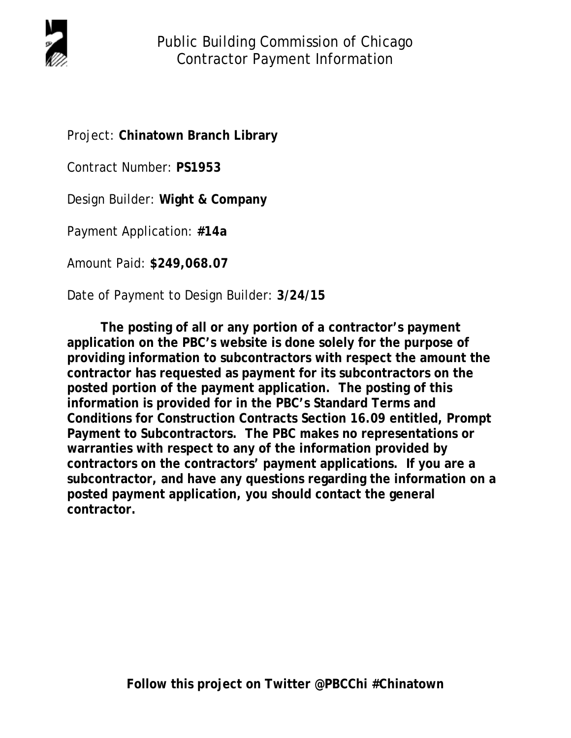

Project: **Chinatown Branch Library**

Contract Number: **PS1953**

Design Builder: **Wight & Company**

Payment Application: **#14a**

Amount Paid: **\$249,068.07**

Date of Payment to Design Builder: **3/24/15**

**The posting of all or any portion of a contractor's payment application on the PBC's website is done solely for the purpose of providing information to subcontractors with respect the amount the contractor has requested as payment for its subcontractors on the posted portion of the payment application. The posting of this information is provided for in the PBC's Standard Terms and Conditions for Construction Contracts Section 16.09 entitled, Prompt Payment to Subcontractors. The PBC makes no representations or warranties with respect to any of the information provided by contractors on the contractors' payment applications. If you are a subcontractor, and have any questions regarding the information on a posted payment application, you should contact the general contractor.**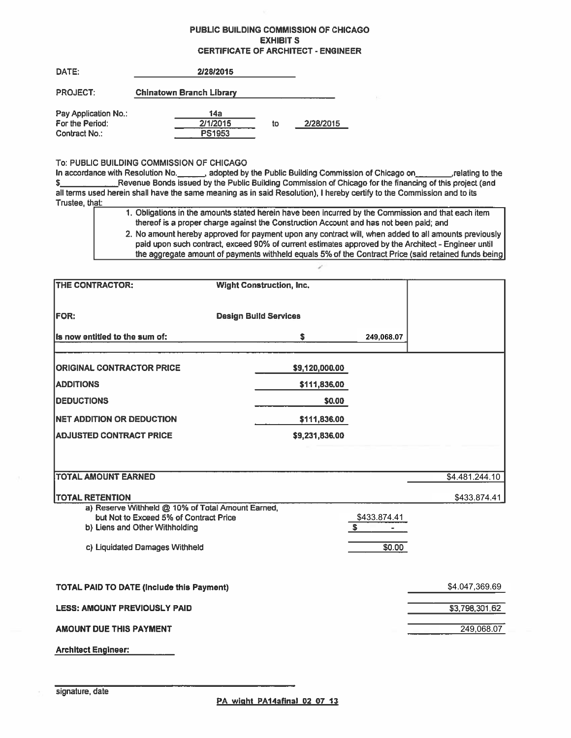## PUBLIC BUILDING COMMISSION OF CHICAGO **EXHIBIT S CERTIFICATE OF ARCHITECT - ENGINEER**

| DATE:                | 2/28/2015                       |    |           |
|----------------------|---------------------------------|----|-----------|
| <b>PROJECT:</b>      | <b>Chinatown Branch Library</b> |    |           |
| Pay Application No.: | 14a                             |    |           |
| For the Period:      | 2/1/2015                        | to | 2/28/2015 |
| Contract No :        | <b>PS1953</b>                   |    |           |

## To: PUBLIC BUILDING COMMISSION OF CHICAGO

In accordance with Resolution No. \_\_\_\_\_\_, adopted by the Public Building Commission of Chicago on\_\_\_\_\_\_\_\_\_,relating to the Revenue Bonds issued by the Public Building Commission of Chicago for the financing of this project (and  $S$ all terms used herein shall have the same meaning as in said Resolution). I hereby certify to the Commission and to its Trustee, that:

- 1. Obligations in the amounts stated herein have been incurred by the Commission and that each item thereof is a proper charge against the Construction Account and has not been paid; and
- 2. No amount hereby approved for payment upon any contract will, when added to all amounts previously paid upon such contract, exceed 90% of current estimates approved by the Architect - Engineer until the aggregate amount of payments withheld equals 5% of the Contract Price (said retained funds being

| THE CONTRACTOR:                                                                                                               | <b>Wight Construction, Inc.</b> |                    |                |
|-------------------------------------------------------------------------------------------------------------------------------|---------------------------------|--------------------|----------------|
| <b>FOR:</b>                                                                                                                   | <b>Design Build Services</b>    |                    |                |
| Is now entitled to the sum of:                                                                                                | s                               | 249,068.07         |                |
| <b>ORIGINAL CONTRACTOR PRICE</b>                                                                                              | \$9,120,000.00                  |                    |                |
| <b>ADDITIONS</b>                                                                                                              | \$111,836.00                    |                    |                |
| <b>DEDUCTIONS</b>                                                                                                             | \$0.00                          |                    |                |
| <b>NET ADDITION OR DEDUCTION</b>                                                                                              | \$111,836.00                    |                    |                |
| <b>ADJUSTED CONTRACT PRICE</b>                                                                                                | \$9,231,836.00                  |                    |                |
|                                                                                                                               |                                 |                    |                |
| <b>TOTAL AMOUNT EARNED</b>                                                                                                    |                                 |                    | \$4.481.244.10 |
| <b>TOTAL RETENTION</b>                                                                                                        |                                 |                    | \$433,874.41   |
| a) Reserve Withheld @ 10% of Total Amount Earned,<br>but Not to Exceed 5% of Contract Price<br>b) Liens and Other Withholding |                                 | \$433.874.41<br>s. |                |
| c) Liquidated Damages Withheld                                                                                                |                                 | \$0.00             |                |
| <b>TOTAL PAID TO DATE (Include this Payment)</b>                                                                              |                                 |                    | \$4.047,369.69 |
| <b>LESS: AMOUNT PREVIOUSLY PAID</b>                                                                                           |                                 |                    | \$3,798,301.62 |
| <b>AMOUNT DUE THIS PAYMENT</b>                                                                                                |                                 |                    | 249,068.07     |
| <b>Architect Engineer:</b>                                                                                                    |                                 |                    |                |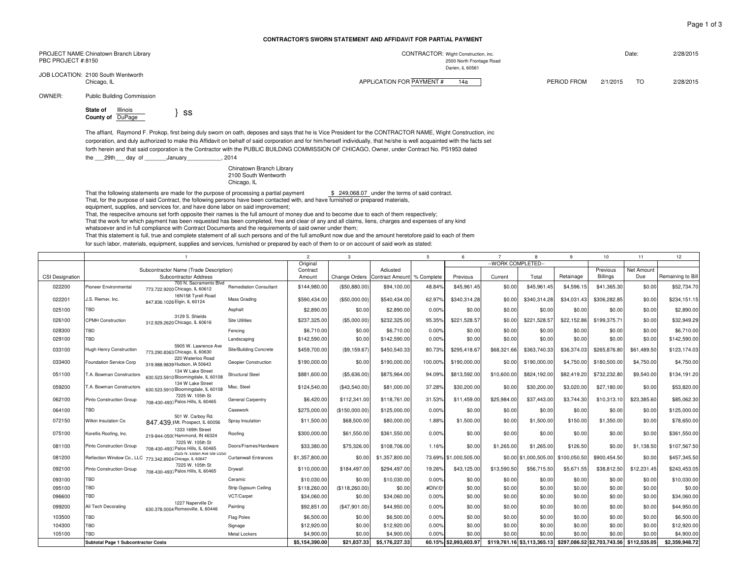## **CONTRACTOR'S SWORN STATEMENT AND AFFiDAViT FOR PARTiAL PAYMENT**

| PROJECT NAME Chinatown Branch Library             | CONTRACTOR: Wight Construction, inc.            | Date:<br>2/28/2015          |
|---------------------------------------------------|-------------------------------------------------|-----------------------------|
| PBC PROJECT # 8150                                | 2500 North Frontage Road                        |                             |
|                                                   | Darien, iL 60561                                |                             |
| JOB LOCATION: 2100 South Wentworth<br>Chicago, IL | APPLICATION FOR PAYMENT #<br>PERIOD FROM<br>14а | 2/1/2015<br>2/28/2015<br>TO |

OWNER:Public Building Commission

**State of** Illinois **County of** DuPage } ss

The affiant, Raymond F. Prokop, first being duly sworn on oath, deposes and says that he is Vice President for the CONTRACTOR NAME, Wight Construction, inc corporation, and duly authorized to make this Affidavit on behalf of said corporation and for him/herself individually, that he/she is well acquainted with the facts set forth herein and that said corporation is the Contractor with the PUBLIC BUILDiNG COMMISSION OF CHICAGO, Owner, under Contract No. PS1953 dated

the \_\_\_29th\_\_\_\_day of \_\_\_\_\_\_\_January\_\_\_\_\_\_\_\_\_\_\_, 2014

Chinatown Branch Library 2100 South Wentworth Chicago, IL

That the following statements are made for the purpose of processing a partial payment \$ 249,068.07 under the terms of said contract. That, for the purpose of said Contract, the following persons have been contacted with, and have furnished or prepared materials,

equipment, supplies, and services for, and have done labor on said improvement;

That, the respecitve amouns set forth opposite their names is the full amount of money due and to become due to each of them respectively;

That the work for which payment has been requested has been completed, free and clear of any and all claims, liens, charges and expenses of any kind

whatsoever and in full compliance with Contract Documents and the requirements of said owner under them;

That this statement is full, true and complete statement of all such persons and of the full amo9unt now due and the amount heretofore paid to each of them

for such labor, materials, equipment, supplies and services, furnished or prepared by each of them to or on account of said work as stated:

|                        |                                            |                                                                                          | $\overline{2}$                | $\mathcal{R}$  |                                          | $\overline{5}$ | 6       | $\overline{7}$        | 8           | 9                                                       | 10           | 11              | 12           |                   |
|------------------------|--------------------------------------------|------------------------------------------------------------------------------------------|-------------------------------|----------------|------------------------------------------|----------------|---------|-----------------------|-------------|---------------------------------------------------------|--------------|-----------------|--------------|-------------------|
|                        |                                            |                                                                                          | Original                      |                |                                          |                |         | -- WORK COMPLETED-    |             |                                                         |              |                 |              |                   |
|                        |                                            | Subcontractor Name (Trade Description)                                                   |                               | Contract       |                                          | Adiusted       |         |                       |             |                                                         |              | Previous        | Net Amount   |                   |
| <b>CSI Designation</b> |                                            | Subcontractor Address                                                                    |                               | Amount         | Change Orders Contract Amount % Complete |                |         | Previous              | Current     | Total                                                   | Retainage    | <b>Billings</b> | Due          | Remaining to Bill |
| 022200                 | Pioneer Environmental                      | 700 N. Sacramento Blvd<br>773.722.9200 Chicago, IL 60612                                 | <b>Remediation Consultant</b> | \$144,980.00   | (\$50,880.00)                            | \$94,100.00    | 48.84%  | \$45,961.45           | \$0.00      | \$45,961.45                                             | \$4,596.15   | \$41,365.30     | \$0.00       | \$52,734.70       |
| 022201                 | J.S. Riemer, Inc.                          | 16N158 Tyrell Road<br>847,836,1026 Elgin, IL 60124                                       | Mass Grading                  | \$590,434.00   | (\$50,000.00)                            | \$540.434.00   | 62.97%  | \$340,314.28          | \$0.00      | \$340.314.28                                            | \$34,031.43  | \$306,282.85    | \$0.00       | \$234,151.15      |
| 025100                 | TBD                                        |                                                                                          | Asphalt                       | \$2,890.00     | \$0.00                                   | \$2,890.00     | 0.00%   | \$0.00                | \$0.00      | \$0.00                                                  | \$0.00       | \$0.00          | \$0.00       | \$2,890.00        |
| 026100                 | CPMH Construction                          | 3129 S. Shields<br>312.929.2620 Chicago, IL 60616                                        | <b>Site Utilities</b>         | \$237,325.00   | (\$5,000.00)                             | \$232,325.00   | 95.35%  | \$221.528.57          | \$0.00      | \$221,528.57                                            | \$22.152.86  | \$199,375.71    | \$0.00       | \$32,949.29       |
| 028300                 | TBD                                        |                                                                                          | Fencina                       | \$6,710.00     | \$0.00                                   | \$6,710.00     | 0.00%   | \$0.00                | \$0.00      | \$0.00                                                  | \$0.00       | \$0.00          | \$0.00       | \$6,710.00        |
| 029100                 | TBD                                        |                                                                                          | Landscaping                   | \$142,590.00   | \$0.00                                   | \$142,590.00   | 0.00%   | \$0.00                | \$0.00      | \$0.00                                                  | \$0.00       | \$0.00          | \$0.00       | \$142,590.00      |
| 033100                 | <b>Hugh Henry Construction</b>             | 5905 W. Lawrence Ave<br>773.290.8363 Chicago, IL 60630                                   | Site/Building Concrete        | \$459,700.00   | (\$9,159.67                              | \$450,540.33   | 80.73%  | \$295,418.67          | \$68,321.66 | \$363,740.33                                            | \$36,374.03  | \$265,876.80    | \$61,489.50  | \$123,174.03      |
| 033400                 | Foundation Service Corp                    | 220 Waterloo Road<br>319.988.9839 Hudson, IA 50643                                       | Geopier Construction          | \$190,000.00   | \$0.00                                   | \$190,000.00   | 100.00% | \$190,000.00          | \$0.00      | \$190,000.00                                            | \$4,750.00   | \$180,500.00    | \$4,750.00   | \$4,750.00        |
| 051100                 | T.A. Bowman Constructors                   | 134 W Lake Street<br>630.523.5910 Bloomingdale, IL 60108                                 | <b>Structural Steel</b>       | \$881,600.00   | (\$5,636.00)                             | \$875,964.00   | 94.09%  | \$813,592.00          | \$10,600.00 | \$824,192.00                                            | \$82,419.20  | \$732,232.80    | \$9,540.00   | \$134,191.20      |
| 059200                 | T.A. Bowman Constructors                   | 134 W Lake Street<br>630.523.5910 Bloomingdale, IL 60108                                 | Misc. Steel                   | \$124,540.00   | (\$43,540.00)                            | \$81,000.00    | 37.28%  | \$30,200.00           | \$0.00      | \$30,200.00                                             | \$3,020.00   | \$27,180.00     | \$0.00       | \$53,820.00       |
| 062100                 | Pinto Construction Group                   | 7225 W. 105th St<br>708-430-493; Palos Hills, IL 60465                                   | General Carpentry             | \$6,420.00     | \$112,341.00                             | \$118,761.00   | 31.53%  | \$11,459.00           | \$25,984.00 | \$37,443.00                                             | \$3,744.30   | \$10,313.10     | \$23,385.60  | \$85,062.30       |
| 064100                 | TBD                                        |                                                                                          | Casework                      | \$275,000.00   | (\$150,000.00)                           | \$125,000.00   | 0.00%   | \$0.00                | \$0.00      | \$0.00                                                  | \$0.00       | \$0.00          | \$0.00       | \$125,000.00      |
| 072150                 | Wilkin Insulation Co                       | 501 W. Carboy Rd.<br>847.439. Mt. Prospect, IL 60056                                     | Spray Insulation              | \$11,500.00    | \$68,500.00                              | \$80,000.00    | 1.88%   | \$1,500.00            | \$0.00      | \$1,500.00                                              | \$150.00     | \$1,350.00      | \$0.00       | \$78,650.00       |
| 075100                 | Korellis Roofing, Inc.                     | 1333 169th Street<br>219-844-050(Hammond, IN 46324                                       | Roofina                       | \$300,000.00   | \$61,550.00                              | \$361,550.00   | 0.00%   | \$0.00                | \$0.00      | \$0.00                                                  | \$0.00       | \$0.00          | \$0.00       | \$361,550.00      |
| 081100                 | Pinto Construction Group                   | 7225 W. 105th St<br>708-430-493; Palos Hills, IL 60465                                   | Doors/Frames/Hardware         | \$33,380.00    | \$75,326.00                              | \$108,706.00   | 1.16%   | \$0.00                | \$1,265.00  | \$1,265.00                                              | \$126.50     | \$0.00          | \$1,138,50   | \$107,567.50      |
| 081200                 |                                            | 2525 N. Elston Ave Ste D250<br>Reflection Window Co., LLC 773.342.8924 Chicago, IL 60647 | <b>Curtainwall Entrances</b>  | \$1,357,800.00 | \$0.00                                   | \$1,357,800.00 |         | 73.69% \$1,000,505.00 |             | \$0.00 \$1,000,505.00                                   | \$100,050.50 | \$900,454.50    | \$0.00       | \$457,345.50      |
| 092100                 | Pinto Construction Group                   | 7225 W. 105th St<br>708-430-493; Palos Hills, IL 60465                                   | Drywall                       | \$110,000.00   | \$184,497.00                             | \$294,497.00   | 19.26%  | \$43,125.00           | \$13,590.50 | \$56,715.50                                             | \$5,671.55   | \$38,812.50     | \$12,231.45  | \$243,453.05      |
| 093100                 | TBD                                        |                                                                                          | Ceramic                       | \$10,030.00    | \$0.00                                   | \$10.030.00    | 0.00%   | \$0.00                | \$0.00      | \$0.00                                                  | \$0.00       | \$0.00          | \$0.00       | \$10,030.00       |
| 095100                 | TBD                                        |                                                                                          | Strip Gypsum Ceiling          | \$118,260.00   | (\$118,260.00)                           | \$0.00         | #DIV/0! | \$0.00                | \$0.00      | \$0.00                                                  | \$0.00       | \$0.00          | \$0.00       | \$0.00            |
| 096600                 | TBD                                        |                                                                                          | VCT/Carpet                    | \$34,060.00    | \$0.00                                   | \$34,060.00    | 0.00%   | \$0.00                | \$0.00      | \$0.00                                                  | \$0.00       | \$0.00          | \$0.00       | \$34,060.00       |
| 099200                 | All Tech Decorating                        | 1227 Naperville Dr<br>630.378.0004 Romeoville, IL 60446                                  | Painting                      | \$92,851.00    | (\$47,901.00)                            | \$44.950.00    | 0.00%   | \$0.00                | \$0.00      | \$0.00                                                  | \$0.00       | \$0.00          | \$0.00       | \$44,950.00       |
| 103500                 | TBD                                        |                                                                                          | Flag Poles                    | \$6,500.00     | \$0.00                                   | \$6,500.00     | 0.00%   | \$0.00                | \$0.00      | \$0.00                                                  | \$0.00       | \$0.00          | \$0.00       | \$6,500.00        |
| 104300                 | TBD                                        |                                                                                          | Signage                       | \$12,920.00    | \$0.00                                   | \$12,920.00    | 0.00%   | \$0.00                | \$0.00      | \$0.00                                                  | \$0.00       | \$0.00          | \$0.00       | \$12,920.00       |
| 105100                 | TBD                                        |                                                                                          | Metal Lockers                 | \$4,900.00     | \$0.00                                   | \$4,900.00     | 0.00%   | \$0.00                | \$0.00      | \$0.00                                                  | \$0.00       | \$0.00          | \$0.00       | \$4,900.00        |
|                        | <b>Subtotal Page 1 Subcontractor Costs</b> |                                                                                          |                               | \$5.154.390.00 | \$21.837.33                              | \$5.176.227.33 |         | 60.15% \$2.993.603.97 |             | \$119.761.16 \$3.113.365.13 \$297.086.52 \$2.703.743.56 |              |                 | \$112.535.05 | \$2.359.948.72    |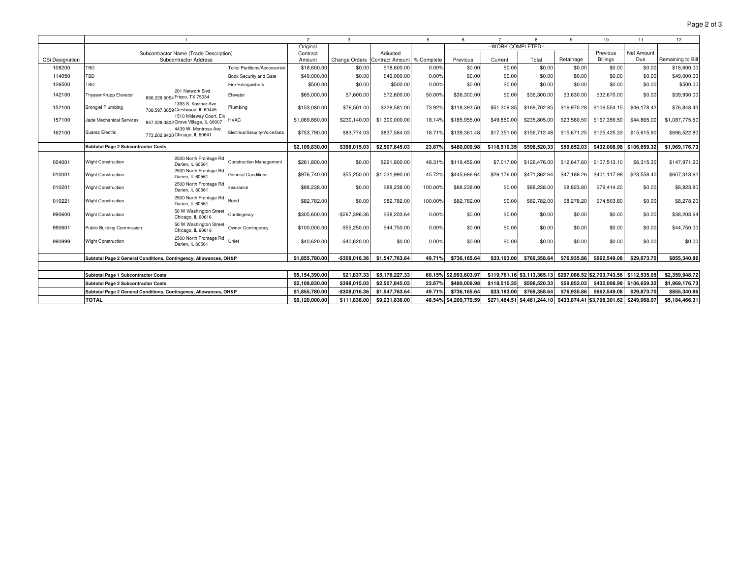|                 |                                            |                                                                   |                                      | $\overline{2}$ | 3                             |                | 5                     | 6            |                                                         | 8            | 9                           | 10           | 11             | 12                |
|-----------------|--------------------------------------------|-------------------------------------------------------------------|--------------------------------------|----------------|-------------------------------|----------------|-----------------------|--------------|---------------------------------------------------------|--------------|-----------------------------|--------------|----------------|-------------------|
|                 |                                            |                                                                   | Original                             |                |                               |                | -- WORK COMPLETED--   |              |                                                         |              |                             |              |                |                   |
|                 |                                            | Subcontractor Name (Trade Description)                            |                                      | Contract       |                               | Adjusted       |                       |              |                                                         |              |                             | Previous     | Net Amount     |                   |
| CSi Designation |                                            | Subcontractor Address                                             |                                      | Amount         | Change Orders Contract Amount |                | % Complete            | Previous     | Current                                                 | Total        | Retainage                   | Billings     | Due            | Remaining to Bill |
| 108200          | <b>TBD</b>                                 |                                                                   | <b>Toilet Partitions/Accessories</b> | \$18,600.00    | \$0.00                        | \$18,600.00    | 0.00%                 | \$0.00       | \$0.00                                                  | \$0.00       | \$0.00                      | \$0.00       | \$0.00         | \$18,600.00       |
| 114050          | TBD                                        |                                                                   | Book Security and Gate               | \$49,000.00    | \$0.00                        | \$49,000.00    | 0.00%                 | \$0.00       | \$0.00                                                  | \$0.00       | \$0.00                      | \$0.00       | \$0.00         | \$49,000.00       |
| 126500          | TBD                                        |                                                                   | Fire Extinguishers                   | \$500.00       | \$0.00                        | \$500.00       | 0.00%                 | \$0.00       | \$0.00                                                  | \$0.00       | \$0.00                      | \$0.00       | \$0.00         | \$500.00          |
| 142100          | ThyssenKrupp Elevator                      | 201 Network Blvd<br>866.228.6054 Frisco, TX 75034                 | Elevator                             | \$65,000.00    | \$7,600.00                    | \$72,600.00    | 50.00%                | \$36,300.00  | \$0.00                                                  | \$36,300.00  | \$3,630.00                  | \$32,670.00  | \$0.00         | \$39,930.00       |
| 152100          | <b>Brongiel Plumbing</b>                   | 1393 S. Kostner Ave<br>708.597.3659 Crestwood, IL 60445           | Plumbing                             | \$153,080.00   | \$76,501.00                   | \$229,581.00   | 73.92%                | \$118,393.50 | \$51,309.35                                             | \$169,702.85 | \$16,970.28                 | \$106,554.15 | \$46,178,42    | \$76,848.43       |
| 157100          | Jade Mechanical Services                   | 1510 Mideway Court, Elk<br>847.228.3802 Grove Village, IL 60007   | <b>HVAC</b>                          | \$1,069,860.00 | \$230,140.00                  | \$1,300,000.00 | 18.14%                | \$185,955.00 | \$49,850.00                                             | \$235,805.00 | \$23,580.50                 | \$167,359.50 | \$44,865.00    | \$1,087,775.50    |
| 162100          | Suarez Electric                            | 4439 W. Montrose Ave<br>773.202.8430 Chicago, IL 60641            | Electrical/Security/Voice/Data       | \$753,790.00   | \$83,774.03                   | \$837,564.03   | 18.71%                | \$139,361.48 | \$17,351.00                                             | \$156,712.48 | \$15,671.25                 | \$125,425.33 | \$15,615.90    | \$696,522.80      |
|                 | Subtotal Page 2 Subcontractor Costs        |                                                                   |                                      | \$2,109,830.00 | \$398.015.03                  | \$2,507,845.03 | 23.87%                | \$480,009.98 | \$118,510.35                                            | \$598.520.33 | \$59.852.03                 | \$432,008.98 | \$106.659.32   | \$1,969,176.73    |
| 004001          | <b>Wight Construction</b>                  | 2500 North Frontage Rd<br>Darien, IL 60561                        | <b>Construction Management</b>       | \$261,800.00   | \$0.00                        | \$261,800.00   | 48.31%                | \$119,459.00 | \$7,017.00                                              | \$126,476.00 | \$12,647.60                 | \$107,513.10 | \$6,315.30     | \$147,971.60      |
| 010001          | <b>Wight Construction</b>                  | 2500 North Frontage Rd<br>Darien, IL 60561                        | <b>General Conditions</b>            | \$976,740.00   | \$55,250.00                   | \$1,031,990.00 | 45.72%                | \$445.686.64 | \$26,176.00                                             | \$471.862.64 | \$47,186.26                 | \$401.117.98 | \$23,558.40    | \$607,313.62      |
| 010201          | <b>Wight Construction</b>                  | 2500 North Frontage Rd<br>Darien, IL 60561                        | Insurance                            | \$88,238.00    | \$0.00                        | \$88,238.00    | 100.00%               | \$88,238.00  | \$0.00                                                  | \$88,238.00  | \$8,823.80                  | \$79,414.20  | \$0.00         | \$8,823.80        |
| 010221          | <b>Wight Construction</b>                  | 2500 North Frontage Rd<br>Darien, IL 60561                        | Bond                                 | \$82,782.00    | \$0.00                        | \$82,782.00    | 100.00%               | \$82,782.00  | \$0.00                                                  | \$82,782.00  | \$8,278.20                  | \$74,503.80  | \$0.00         | \$8,278.20        |
| 990600          | <b>Wight Construction</b>                  | 50 W Washington Street<br>Chicago, IL 60616                       | Contingency                          | \$305,600.00   | -\$267,396.36                 | \$38,203.64    | 0.00%                 | \$0.00       | \$0.00                                                  | \$0.00       | \$0.00                      | \$0.00       | \$0.00         | \$38,203.64       |
| 990601          | Public Building Commission                 | 50 W Washington Street<br>Chicago, IL 60616                       | Owner Contingency                    | \$100,000.00   | $-$55,250.00$                 | \$44,750.00    | 0.00%                 | \$0.00       | \$0.00                                                  | \$0.00       | \$0.00                      | \$0.00       | \$0.00         | \$44,750.00       |
| 990999          | <b>Wight Construction</b>                  | 2500 North Frontage Rd<br>Darien, IL 60561                        | Unlet                                | \$40,620.00    | $-$40.620.00$                 | \$0.00         | 0.00%                 | \$0.00       | \$0.00                                                  | \$0.00       | \$0.00                      | \$0.00       | \$0.00         | \$0.00            |
|                 |                                            | Subtotal Page 2 General Conditions, Contingency, Allowances, OH&P |                                      | \$1,855,780.00 | -\$308.016.36                 | \$1,547,763.64 | 49.71%                | \$736.165.64 | \$33.193.00                                             | \$769,358.64 | \$76,935.86                 | \$662,549.08 | \$29.873.70    | \$855,340.86      |
|                 |                                            |                                                                   |                                      |                |                               |                |                       |              |                                                         |              |                             |              |                |                   |
|                 | Subtotal Page 1 Subcontractor Costs        |                                                                   | \$5.154.390.00                       | \$21.837.33    | \$5.176.227.33                | 60.15%         | \$2.993.603.97        |              | \$119.761.16 \$3.113.365.13                             |              | \$297,086.52 \$2,703,743.56 | \$112.535.05 | \$2.359.948.72 |                   |
|                 | <b>Subtotal Page 2 Subcontractor Costs</b> |                                                                   | \$2,109,830.00                       | \$398,015.03   | \$2,507,845.03                | 23.87%         | \$480,009.98          | \$118,510.35 | \$598,520.33                                            | \$59,852.03  | \$432,008.98                | \$106,659.32 | \$1,969,176.73 |                   |
|                 |                                            | Subtotal Page 2 General Conditions, Contingency, Allowances, OH&P |                                      | \$1,855,780.00 | -\$308.016.36                 | \$1,547,763.64 | 49.71%                | \$736,165.64 | \$33,193.00                                             | \$769,358.64 | \$76.935.86                 | \$662,549.08 | \$29.873.70    | \$855,340.86      |
|                 | <b>TOTAL</b>                               |                                                                   | \$9.120.000.00                       | \$111.836.00   | \$9,231,836.00                |                | 48.54% \$4.209.779.59 |              | \$271,464.51 \$4,481,244.10 \$433,874.41 \$3,798,301.62 |              |                             | \$249.068.07 | \$5,184,466.31 |                   |